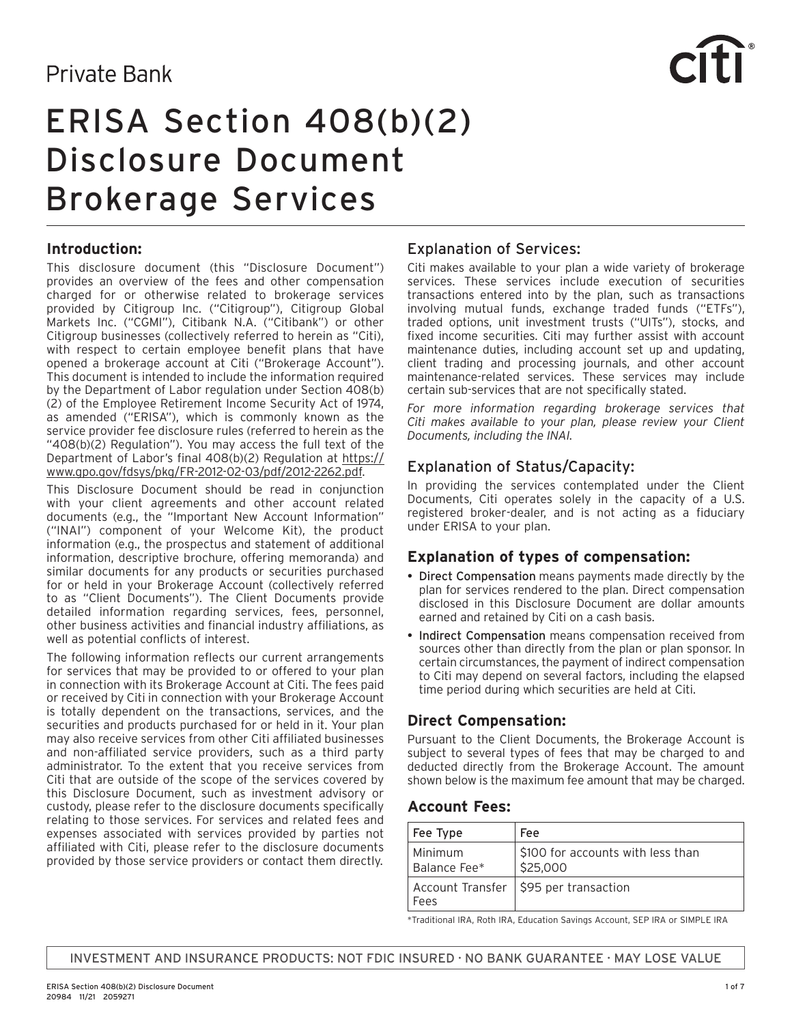# **Private Bank**



# ERISA Section 408(b)(2) Disclosure Document Brokerage Services

# **Introduction:**

This disclosure document (this "Disclosure Document") provides an overview of the fees and other compensation charged for or otherwise related to brokerage services provided by Citigroup Inc. ("Citigroup"), Citigroup Global Markets Inc. ("CGMI"), Citibank N.A. ("Citibank") or other Citigroup businesses (collectively referred to herein as "Citi), with respect to certain employee benefit plans that have opened a brokerage account at Citi ("Brokerage Account"). This document is intended to include the information required by the Department of Labor regulation under Section 408(b) (2) of the Employee Retirement Income Security Act of 1974, as amended ("ERISA"), which is commonly known as the service provider fee disclosure rules (referred to herein as the "408(b)(2) Regulation"). You may access the full text of the Department of Labor's final 408(b)(2) Regulation at [https://](https://www.gpo.gov/fdsys/pkg/FR-2012-02-03/pdf/2012-2262.pdf) [www.gpo.gov/fdsys/pkg/FR-2012-02-03/pdf/2012-2262.pdf](https://www.gpo.gov/fdsys/pkg/FR-2012-02-03/pdf/2012-2262.pdf).

This Disclosure Document should be read in conjunction with your client agreements and other account related documents (e.g., the "Important New Account Information" ("INAI") component of your Welcome Kit), the product information (e.g., the prospectus and statement of additional information, descriptive brochure, offering memoranda) and similar documents for any products or securities purchased for or held in your Brokerage Account (collectively referred to as "Client Documents"). The Client Documents provide detailed information regarding services, fees, personnel, other business activities and financial industry affiliations, as well as potential conflicts of interest.

The following information reflects our current arrangements for services that may be provided to or offered to your plan in connection with its Brokerage Account at Citi. The fees paid or received by Citi in connection with your Brokerage Account is totally dependent on the transactions, services, and the securities and products purchased for or held in it. Your plan may also receive services from other Citi affiliated businesses and non-affiliated service providers, such as a third party administrator. To the extent that you receive services from Citi that are outside of the scope of the services covered by this Disclosure Document, such as investment advisory or custody, please refer to the disclosure documents specifically relating to those services. For services and related fees and expenses associated with services provided by parties not affiliated with Citi, please refer to the disclosure documents provided by those service providers or contact them directly.

# Explanation of Services:

Citi makes available to your plan a wide variety of brokerage services. These services include execution of securities transactions entered into by the plan, such as transactions involving mutual funds, exchange traded funds ("ETFs"), traded options, unit investment trusts ("UITs"), stocks, and fixed income securities. Citi may further assist with account maintenance duties, including account set up and updating, client trading and processing journals, and other account maintenance-related services. These services may include certain sub-services that are not specifically stated.

*For more information regarding brokerage services that Citi makes available to your plan, please review your Client Documents, including the INAI.*

# Explanation of Status/Capacity:

In providing the services contemplated under the Client Documents, Citi operates solely in the capacity of a U.S. registered broker-dealer, and is not acting as a fiduciary under ERISA to your plan.

# **Explanation of types of compensation:**

- Direct Compensation means payments made directly by the plan for services rendered to the plan. Direct compensation disclosed in this Disclosure Document are dollar amounts earned and retained by Citi on a cash basis.
- Indirect Compensation means compensation received from sources other than directly from the plan or plan sponsor. In certain circumstances, the payment of indirect compensation to Citi may depend on several factors, including the elapsed time period during which securities are held at Citi.

# **Direct Compensation:**

Pursuant to the Client Documents, the Brokerage Account is subject to several types of fees that may be charged to and deducted directly from the Brokerage Account. The amount shown below is the maximum fee amount that may be charged.

# **Account Fees:**

| Fee Type                | Fee                                           |
|-------------------------|-----------------------------------------------|
| Minimum<br>Balance Fee* | \$100 for accounts with less than<br>\$25,000 |
| Fees                    | Account Transfer   \$95 per transaction       |

\*Traditional IRA, Roth IRA, Education Savings Account, SEP IRA or SIMPLE IRA

INVESTMENT AND INSURANCE PRODUCTS: NOT FDIC INSURED · NO BANK GUARANTEE · MAY LOSE VALUE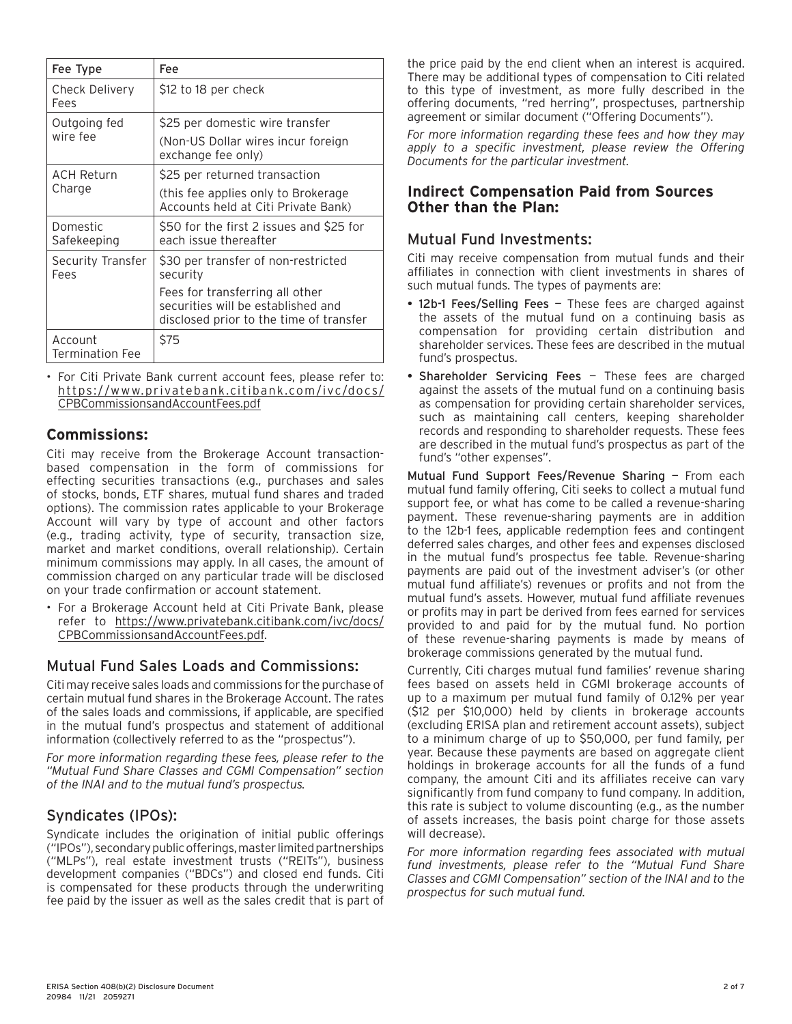| Fee Type                          | Fee                                                                                                                                                                 |
|-----------------------------------|---------------------------------------------------------------------------------------------------------------------------------------------------------------------|
| Check Delivery<br>Fees            | \$12 to 18 per check                                                                                                                                                |
| Outgoing fed<br>wire fee          | \$25 per domestic wire transfer<br>(Non-US Dollar wires incur foreign<br>exchange fee only)                                                                         |
| <b>ACH Return</b><br>Charge       | \$25 per returned transaction<br>(this fee applies only to Brokerage)<br>Accounts held at Citi Private Bank)                                                        |
| Domestic<br>Safekeeping           | \$50 for the first 2 issues and \$25 for<br>each issue thereafter                                                                                                   |
| Security Transfer<br>Fees         | \$30 per transfer of non-restricted<br>security<br>Fees for transferring all other<br>securities will be established and<br>disclosed prior to the time of transfer |
| Account<br><b>Termination Fee</b> | \$75                                                                                                                                                                |

• For Citi Private Bank current account fees, please refer to: [https://www.privatebank.citibank.com/ivc/docs/](https://www.privatebank.citibank.com/ivc/docs/CPBCommissionsandAccountFees.pdf) [CPBCommissionsandAccountFees.pdf](https://www.privatebank.citibank.com/ivc/docs/CPBCommissionsandAccountFees.pdf)

# **Commissions:**

Citi may receive from the Brokerage Account transactionbased compensation in the form of commissions for effecting securities transactions (e.g., purchases and sales of stocks, bonds, ETF shares, mutual fund shares and traded options). The commission rates applicable to your Brokerage Account will vary by type of account and other factors (e.g., trading activity, type of security, transaction size, market and market conditions, overall relationship). Certain minimum commissions may apply. In all cases, the amount of commission charged on any particular trade will be disclosed on your trade confirmation or account statement.

• For a Brokerage Account held at Citi Private Bank, please refer to [https://www.privatebank.citibank.com/ivc/docs/](https://www.privatebank.citibank.com/ivc/docs/CPBCommissionsandAccountFees.pdf) [CPBCommissionsandAccountFees.pdf](https://www.privatebank.citibank.com/ivc/docs/CPBCommissionsandAccountFees.pdf).

# Mutual Fund Sales Loads and Commissions:

Citi may receive sales loads and commissions for the purchase of certain mutual fund shares in the Brokerage Account. The rates of the sales loads and commissions, if applicable, are specified in the mutual fund's prospectus and statement of additional information (collectively referred to as the "prospectus").

*For more information regarding these fees, please refer to the "Mutual Fund Share Classes and CGMI Compensation" section of the INAI and to the mutual fund's prospectus.*

### Syndicates (IPOs):

Syndicate includes the origination of initial public offerings ("IPOs"), secondary public offerings, master limited partnerships ("MLPs"), real estate investment trusts ("REITs"), business development companies ("BDCs") and closed end funds. Citi is compensated for these products through the underwriting fee paid by the issuer as well as the sales credit that is part of

the price paid by the end client when an interest is acquired. There may be additional types of compensation to Citi related to this type of investment, as more fully described in the offering documents, "red herring", prospectuses, partnership agreement or similar document ("Offering Documents").

*For more information regarding these fees and how they may apply to a specific investment, please review the Offering Documents for the particular investment.*

#### **Indirect Compensation Paid from Sources Other than the Plan:**

# Mutual Fund Investments:

Citi may receive compensation from mutual funds and their affiliates in connection with client investments in shares of such mutual funds. The types of payments are:

- 12b-1 Fees/Selling Fees These fees are charged against the assets of the mutual fund on a continuing basis as compensation for providing certain distribution and shareholder services. These fees are described in the mutual fund's prospectus.
- Shareholder Servicing Fees These fees are charged against the assets of the mutual fund on a continuing basis as compensation for providing certain shareholder services, such as maintaining call centers, keeping shareholder records and responding to shareholder requests. These fees are described in the mutual fund's prospectus as part of the fund's "other expenses".

Mutual Fund Support Fees/Revenue Sharing — From each mutual fund family offering, Citi seeks to collect a mutual fund support fee, or what has come to be called a revenue-sharing payment. These revenue-sharing payments are in addition to the 12b-1 fees, applicable redemption fees and contingent deferred sales charges, and other fees and expenses disclosed in the mutual fund's prospectus fee table. Revenue-sharing payments are paid out of the investment adviser's (or other mutual fund affiliate's) revenues or profits and not from the mutual fund's assets. However, mutual fund affiliate revenues or profits may in part be derived from fees earned for services provided to and paid for by the mutual fund. No portion of these revenue-sharing payments is made by means of brokerage commissions generated by the mutual fund.

Currently, Citi charges mutual fund families' revenue sharing fees based on assets held in CGMI brokerage accounts of up to a maximum per mutual fund family of 0.12% per year (\$12 per \$10,000) held by clients in brokerage accounts (excluding ERISA plan and retirement account assets), subject to a minimum charge of up to \$50,000, per fund family, per year. Because these payments are based on aggregate client holdings in brokerage accounts for all the funds of a fund company, the amount Citi and its affiliates receive can vary significantly from fund company to fund company. In addition, this rate is subject to volume discounting (e.g., as the number of assets increases, the basis point charge for those assets will decrease).

*For more information regarding fees associated with mutual fund investments, please refer to the "Mutual Fund Share Classes and CGMI Compensation" section of the INAI and to the prospectus for such mutual fund.*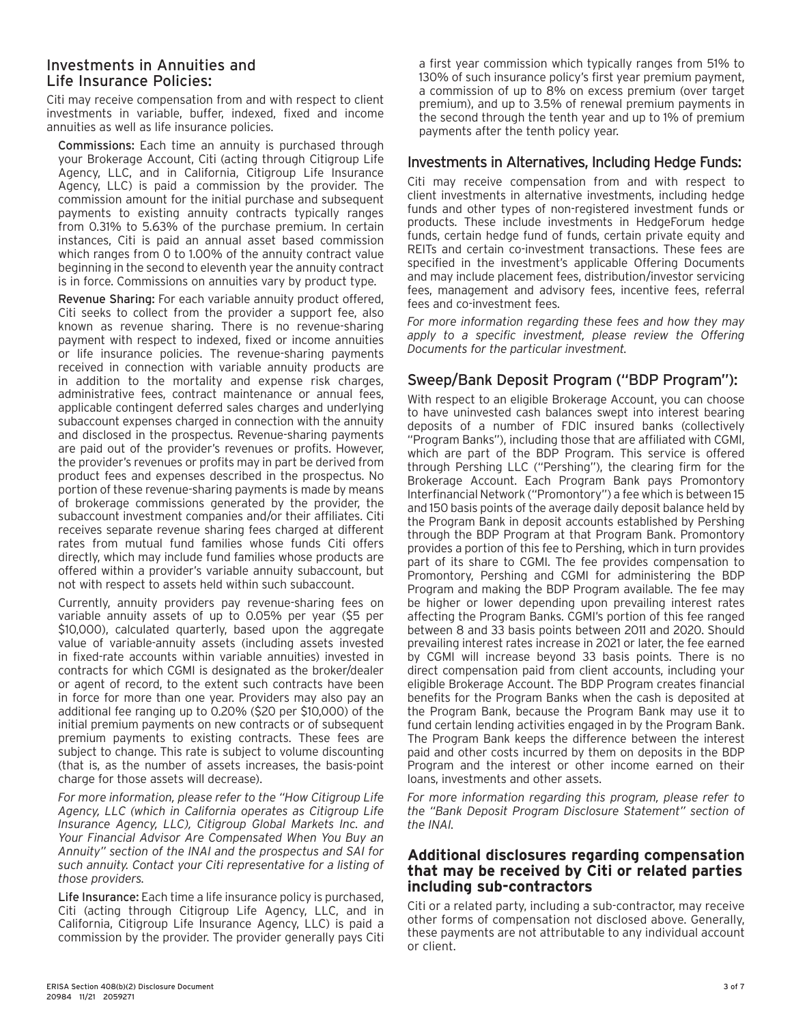#### Investments in Annuities and Life Insurance Policies:

Citi may receive compensation from and with respect to client investments in variable, buffer, indexed, fixed and income annuities as well as life insurance policies.

Commissions: Each time an annuity is purchased through your Brokerage Account, Citi (acting through Citigroup Life Agency, LLC, and in California, Citigroup Life Insurance Agency, LLC) is paid a commission by the provider. The commission amount for the initial purchase and subsequent payments to existing annuity contracts typically ranges from 0.31% to 5.63% of the purchase premium. In certain instances, Citi is paid an annual asset based commission which ranges from 0 to 1.00% of the annuity contract value beginning in the second to eleventh year the annuity contract is in force. Commissions on annuities vary by product type.

Revenue Sharing: For each variable annuity product offered, Citi seeks to collect from the provider a support fee, also known as revenue sharing. There is no revenue-sharing payment with respect to indexed, fixed or income annuities or life insurance policies. The revenue-sharing payments received in connection with variable annuity products are in addition to the mortality and expense risk charges, administrative fees, contract maintenance or annual fees, applicable contingent deferred sales charges and underlying subaccount expenses charged in connection with the annuity and disclosed in the prospectus. Revenue-sharing payments are paid out of the provider's revenues or profits. However, the provider's revenues or profits may in part be derived from product fees and expenses described in the prospectus. No portion of these revenue-sharing payments is made by means of brokerage commissions generated by the provider, the subaccount investment companies and/or their affiliates. Citi receives separate revenue sharing fees charged at different rates from mutual fund families whose funds Citi offers directly, which may include fund families whose products are offered within a provider's variable annuity subaccount, but not with respect to assets held within such subaccount.

Currently, annuity providers pay revenue-sharing fees on variable annuity assets of up to 0.05% per year (\$5 per \$10,000), calculated quarterly, based upon the aggregate value of variable-annuity assets (including assets invested in fixed-rate accounts within variable annuities) invested in contracts for which CGMI is designated as the broker/dealer or agent of record, to the extent such contracts have been in force for more than one year. Providers may also pay an additional fee ranging up to 0.20% (\$20 per \$10,000) of the initial premium payments on new contracts or of subsequent premium payments to existing contracts. These fees are subject to change. This rate is subject to volume discounting (that is, as the number of assets increases, the basis-point charge for those assets will decrease).

*For more information, please refer to the "How Citigroup Life Agency, LLC (which in California operates as Citigroup Life Insurance Agency, LLC), Citigroup Global Markets Inc. and Your Financial Advisor Are Compensated When You Buy an Annuity" section of the INAI and the prospectus and SAI for such annuity. Contact your Citi representative for a listing of those providers.*

Life Insurance: Each time a life insurance policy is purchased, Citi (acting through Citigroup Life Agency, LLC, and in California, Citigroup Life Insurance Agency, LLC) is paid a commission by the provider. The provider generally pays Citi

a first year commission which typically ranges from 51% to 130% of such insurance policy's first year premium payment, a commission of up to 8% on excess premium (over target premium), and up to 3.5% of renewal premium payments in the second through the tenth year and up to 1% of premium payments after the tenth policy year.

# Investments in Alternatives, Including Hedge Funds:

Citi may receive compensation from and with respect to client investments in alternative investments, including hedge funds and other types of non-registered investment funds or products. These include investments in HedgeForum hedge funds, certain hedge fund of funds, certain private equity and REITs and certain co-investment transactions. These fees are specified in the investment's applicable Offering Documents and may include placement fees, distribution/investor servicing fees, management and advisory fees, incentive fees, referral fees and co-investment fees.

*For more information regarding these fees and how they may*  apply to a specific investment, please review the Offering *Documents for the particular investment.*

# Sweep/Bank Deposit Program ("BDP Program"):

With respect to an eligible Brokerage Account, you can choose to have uninvested cash balances swept into interest bearing deposits of a number of FDIC insured banks (collectively "Program Banks"), including those that are affiliated with CGMI, which are part of the BDP Program. This service is offered through Pershing LLC ("Pershing"), the clearing firm for the Brokerage Account. Each Program Bank pays Promontory Interfinancial Network ("Promontory") a fee which is between 15 and 150 basis points of the average daily deposit balance held by the Program Bank in deposit accounts established by Pershing through the BDP Program at that Program Bank. Promontory provides a portion of this fee to Pershing, which in turn provides part of its share to CGMI. The fee provides compensation to Promontory, Pershing and CGMI for administering the BDP Program and making the BDP Program available. The fee may be higher or lower depending upon prevailing interest rates affecting the Program Banks. CGMI's portion of this fee ranged between 8 and 33 basis points between 2011 and 2020. Should prevailing interest rates increase in 2021 or later, the fee earned by CGMI will increase beyond 33 basis points. There is no direct compensation paid from client accounts, including your eligible Brokerage Account. The BDP Program creates financial benefits for the Program Banks when the cash is deposited at the Program Bank, because the Program Bank may use it to fund certain lending activities engaged in by the Program Bank. The Program Bank keeps the difference between the interest paid and other costs incurred by them on deposits in the BDP Program and the interest or other income earned on their loans, investments and other assets.

*For more information regarding this program, please refer to the "Bank Deposit Program Disclosure Statement" section of the INAI.*

#### **Additional disclosures regarding compensation that may be received by Citi or related parties including sub-contractors**

Citi or a related party, including a sub-contractor, may receive other forms of compensation not disclosed above. Generally, these payments are not attributable to any individual account or client.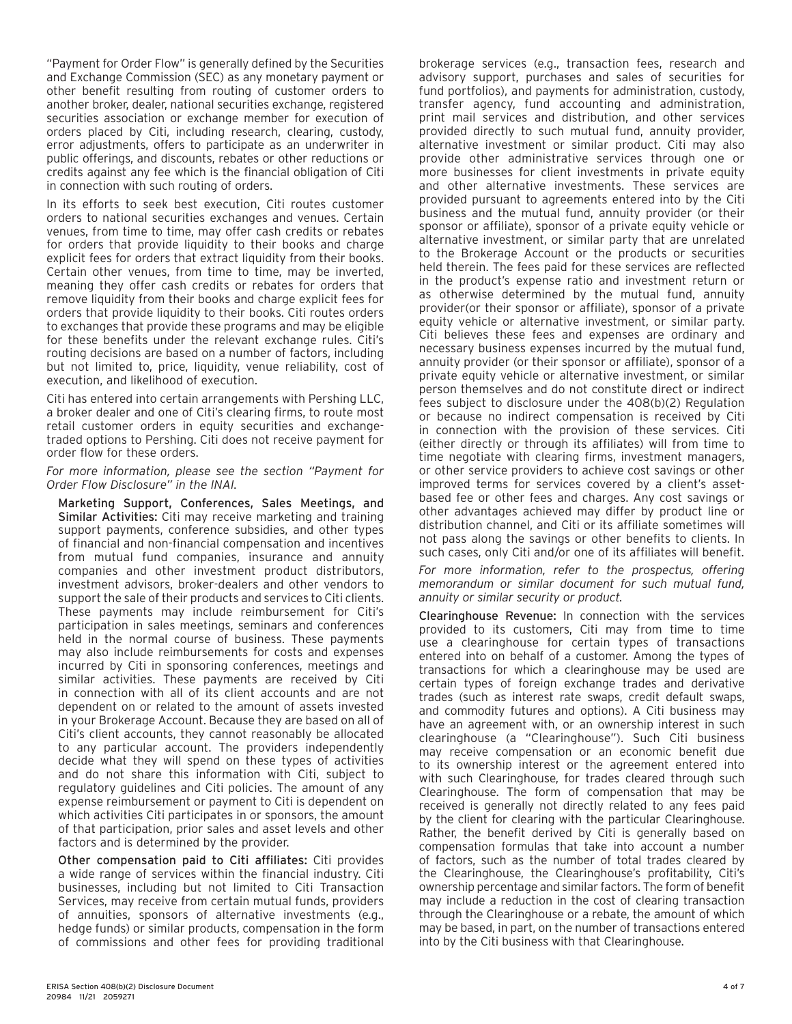"Payment for Order Flow" is generally defined by the Securities and Exchange Commission (SEC) as any monetary payment or other benefit resulting from routing of customer orders to another broker, dealer, national securities exchange, registered securities association or exchange member for execution of orders placed by Citi, including research, clearing, custody, error adjustments, offers to participate as an underwriter in public offerings, and discounts, rebates or other reductions or credits against any fee which is the financial obligation of Citi in connection with such routing of orders.

In its efforts to seek best execution, Citi routes customer orders to national securities exchanges and venues. Certain venues, from time to time, may offer cash credits or rebates for orders that provide liquidity to their books and charge explicit fees for orders that extract liquidity from their books. Certain other venues, from time to time, may be inverted, meaning they offer cash credits or rebates for orders that remove liquidity from their books and charge explicit fees for orders that provide liquidity to their books. Citi routes orders to exchanges that provide these programs and may be eligible for these benefits under the relevant exchange rules. Citi's routing decisions are based on a number of factors, including but not limited to, price, liquidity, venue reliability, cost of execution, and likelihood of execution.

Citi has entered into certain arrangements with Pershing LLC, a broker dealer and one of Citi's clearing firms, to route most retail customer orders in equity securities and exchangetraded options to Pershing. Citi does not receive payment for order flow for these orders.

#### *For more information, please see the section "Payment for Order Flow Disclosure" in the INAI.*

Marketing Support, Conferences, Sales Meetings, and Similar Activities: Citi may receive marketing and training support payments, conference subsidies, and other types of financial and non-financial compensation and incentives from mutual fund companies, insurance and annuity companies and other investment product distributors, investment advisors, broker-dealers and other vendors to support the sale of their products and services to Citi clients. These payments may include reimbursement for Citi's participation in sales meetings, seminars and conferences held in the normal course of business. These payments may also include reimbursements for costs and expenses incurred by Citi in sponsoring conferences, meetings and similar activities. These payments are received by Citi in connection with all of its client accounts and are not dependent on or related to the amount of assets invested in your Brokerage Account. Because they are based on all of Citi's client accounts, they cannot reasonably be allocated to any particular account. The providers independently decide what they will spend on these types of activities and do not share this information with Citi, subject to regulatory guidelines and Citi policies. The amount of any expense reimbursement or payment to Citi is dependent on which activities Citi participates in or sponsors, the amount of that participation, prior sales and asset levels and other factors and is determined by the provider.

Other compensation paid to Citi affiliates: Citi provides a wide range of services within the financial industry. Citi businesses, including but not limited to Citi Transaction Services, may receive from certain mutual funds, providers of annuities, sponsors of alternative investments (e.g., hedge funds) or similar products, compensation in the form of commissions and other fees for providing traditional

advisory support, purchases and sales of securities for fund portfolios), and payments for administration, custody, transfer agency, fund accounting and administration, print mail services and distribution, and other services provided directly to such mutual fund, annuity provider, alternative investment or similar product. Citi may also provide other administrative services through one or more businesses for client investments in private equity and other alternative investments. These services are provided pursuant to agreements entered into by the Citi business and the mutual fund, annuity provider (or their sponsor or affiliate), sponsor of a private equity vehicle or alternative investment, or similar party that are unrelated to the Brokerage Account or the products or securities held therein. The fees paid for these services are reflected in the product's expense ratio and investment return or as otherwise determined by the mutual fund, annuity provider(or their sponsor or affiliate), sponsor of a private equity vehicle or alternative investment, or similar party. Citi believes these fees and expenses are ordinary and necessary business expenses incurred by the mutual fund, annuity provider (or their sponsor or affiliate), sponsor of a private equity vehicle or alternative investment, or similar person themselves and do not constitute direct or indirect fees subject to disclosure under the 408(b)(2) Regulation or because no indirect compensation is received by Citi in connection with the provision of these services. Citi (either directly or through its affiliates) will from time to time negotiate with clearing firms, investment managers, or other service providers to achieve cost savings or other improved terms for services covered by a client's assetbased fee or other fees and charges. Any cost savings or other advantages achieved may differ by product line or distribution channel, and Citi or its affiliate sometimes will not pass along the savings or other benefits to clients. In

brokerage services (e.g., transaction fees, research and

For more information, refer to the prospectus, offering *memorandum or similar document for such mutual fund, annuity or similar security or product.*

such cases, only Citi and/or one of its affiliates will benefit.

Clearinghouse Revenue: In connection with the services provided to its customers, Citi may from time to time use a clearinghouse for certain types of transactions entered into on behalf of a customer. Among the types of transactions for which a clearinghouse may be used are certain types of foreign exchange trades and derivative trades (such as interest rate swaps, credit default swaps, and commodity futures and options). A Citi business may have an agreement with, or an ownership interest in such clearinghouse (a "Clearinghouse"). Such Citi business may receive compensation or an economic benefit due to its ownership interest or the agreement entered into with such Clearinghouse, for trades cleared through such Clearinghouse. The form of compensation that may be received is generally not directly related to any fees paid by the client for clearing with the particular Clearinghouse. Rather, the benefit derived by Citi is generally based on compensation formulas that take into account a number of factors, such as the number of total trades cleared by the Clearinghouse, the Clearinghouse's profitability, Citi's ownership percentage and similar factors. The form of benefit may include a reduction in the cost of clearing transaction through the Clearinghouse or a rebate, the amount of which may be based, in part, on the number of transactions entered into by the Citi business with that Clearinghouse.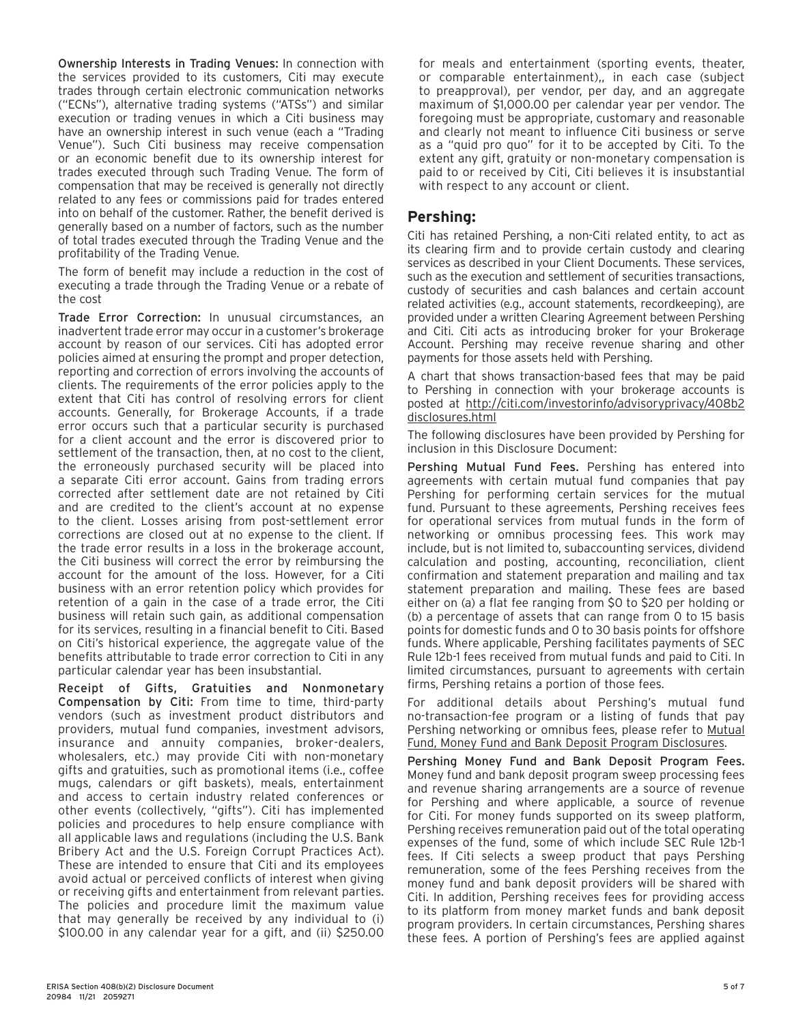Ownership Interests in Trading Venues: In connection with the services provided to its customers, Citi may execute trades through certain electronic communication networks ("ECNs"), alternative trading systems ("ATSs") and similar execution or trading venues in which a Citi business may have an ownership interest in such venue (each a "Trading Venue"). Such Citi business may receive compensation or an economic benefit due to its ownership interest for trades executed through such Trading Venue. The form of compensation that may be received is generally not directly related to any fees or commissions paid for trades entered into on behalf of the customer. Rather, the benefit derived is generally based on a number of factors, such as the number of total trades executed through the Trading Venue and the profitability of the Trading Venue.

The form of benefit may include a reduction in the cost of executing a trade through the Trading Venue or a rebate of the cost

Trade Error Correction: In unusual circumstances, an inadvertent trade error may occur in a customer's brokerage account by reason of our services. Citi has adopted error policies aimed at ensuring the prompt and proper detection, reporting and correction of errors involving the accounts of clients. The requirements of the error policies apply to the extent that Citi has control of resolving errors for client accounts. Generally, for Brokerage Accounts, if a trade error occurs such that a particular security is purchased for a client account and the error is discovered prior to settlement of the transaction, then, at no cost to the client, the erroneously purchased security will be placed into a separate Citi error account. Gains from trading errors corrected after settlement date are not retained by Citi and are credited to the client's account at no expense to the client. Losses arising from post-settlement error corrections are closed out at no expense to the client. If the trade error results in a loss in the brokerage account, the Citi business will correct the error by reimbursing the account for the amount of the loss. However, for a Citi business with an error retention policy which provides for retention of a gain in the case of a trade error, the Citi business will retain such gain, as additional compensation for its services, resulting in a financial benefit to Citi. Based on Citi's historical experience, the aggregate value of the benefits attributable to trade error correction to Citi in any particular calendar year has been insubstantial.

Receipt of Gifts, Gratuities and Nonmonetary Compensation by Citi: From time to time, third-party vendors (such as investment product distributors and providers, mutual fund companies, investment advisors, insurance and annuity companies, broker-dealers, wholesalers, etc.) may provide Citi with non-monetary gifts and gratuities, such as promotional items (i.e., coffee mugs, calendars or gift baskets), meals, entertainment and access to certain industry related conferences or other events (collectively, "gifts"). Citi has implemented policies and procedures to help ensure compliance with all applicable laws and regulations (including the U.S. Bank Bribery Act and the U.S. Foreign Corrupt Practices Act). These are intended to ensure that Citi and its employees avoid actual or perceived conflicts of interest when giving or receiving gifts and entertainment from relevant parties. The policies and procedure limit the maximum value that may generally be received by any individual to (i) \$100.00 in any calendar year for a gift, and (ii) \$250.00 for meals and entertainment (sporting events, theater, or comparable entertainment),, in each case (subject to preapproval), per vendor, per day, and an aggregate maximum of \$1,000.00 per calendar year per vendor. The foregoing must be appropriate, customary and reasonable and clearly not meant to influence Citi business or serve as a "quid pro quo" for it to be accepted by Citi. To the extent any gift, gratuity or non-monetary compensation is paid to or received by Citi, Citi believes it is insubstantial with respect to any account or client.

#### **Pershing:**

Citi has retained Pershing, a non-Citi related entity, to act as its clearing firm and to provide certain custody and clearing services as described in your Client Documents. These services, such as the execution and settlement of securities transactions, custody of securities and cash balances and certain account related activities (e.g., account statements, recordkeeping), are provided under a written Clearing Agreement between Pershing and Citi. Citi acts as introducing broker for your Brokerage Account. Pershing may receive revenue sharing and other payments for those assets held with Pershing.

A chart that shows transaction-based fees that may be paid to Pershing in connection with your brokerage accounts is posted at [http://citi.com/investorinfo/advisoryprivacy/408b2](http://www.citi.com/investorinfo/advisoryprivacy/408b2disclosures.html) [disclosures.html](http://www.citi.com/investorinfo/advisoryprivacy/408b2disclosures.html)

The following disclosures have been provided by Pershing for inclusion in this Disclosure Document:

Pershing Mutual Fund Fees. Pershing has entered into agreements with certain mutual fund companies that pay Pershing for performing certain services for the mutual fund. Pursuant to these agreements, Pershing receives fees for operational services from mutual funds in the form of networking or omnibus processing fees. This work may include, but is not limited to, subaccounting services, dividend calculation and posting, accounting, reconciliation, client confirmation and statement preparation and mailing and tax statement preparation and mailing. These fees are based either on (a) a flat fee ranging from \$0 to \$20 per holding or (b) a percentage of assets that can range from 0 to 15 basis points for domestic funds and 0 to 30 basis points for offshore funds. Where applicable, Pershing facilitates payments of SEC Rule 12b-1 fees received from mutual funds and paid to Citi. In limited circumstances, pursuant to agreements with certain firms, Pershing retains a portion of those fees.

For additional details about Pershing's mutual fund no-transaction-fee program or a listing of funds that pay Pershing networking or omnibus fees, please refer to [Mutual](https://www.pershing.com/_global-assets/pdf/disclosures/per-mutual-fund-money-fund-and-bank-deposit-program-disclosures.pdf) [Fund, Money Fund and Bank Deposit Program Disclosures](https://www.pershing.com/_global-assets/pdf/disclosures/per-mutual-fund-money-fund-and-bank-deposit-program-disclosures.pdf).

Pershing Money Fund and Bank Deposit Program Fees. Money fund and bank deposit program sweep processing fees and revenue sharing arrangements are a source of revenue for Pershing and where applicable, a source of revenue for Citi. For money funds supported on its sweep platform, Pershing receives remuneration paid out of the total operating expenses of the fund, some of which include SEC Rule 12b-1 fees. If Citi selects a sweep product that pays Pershing remuneration, some of the fees Pershing receives from the money fund and bank deposit providers will be shared with Citi. In addition, Pershing receives fees for providing access to its platform from money market funds and bank deposit program providers. In certain circumstances, Pershing shares these fees. A portion of Pershing's fees are applied against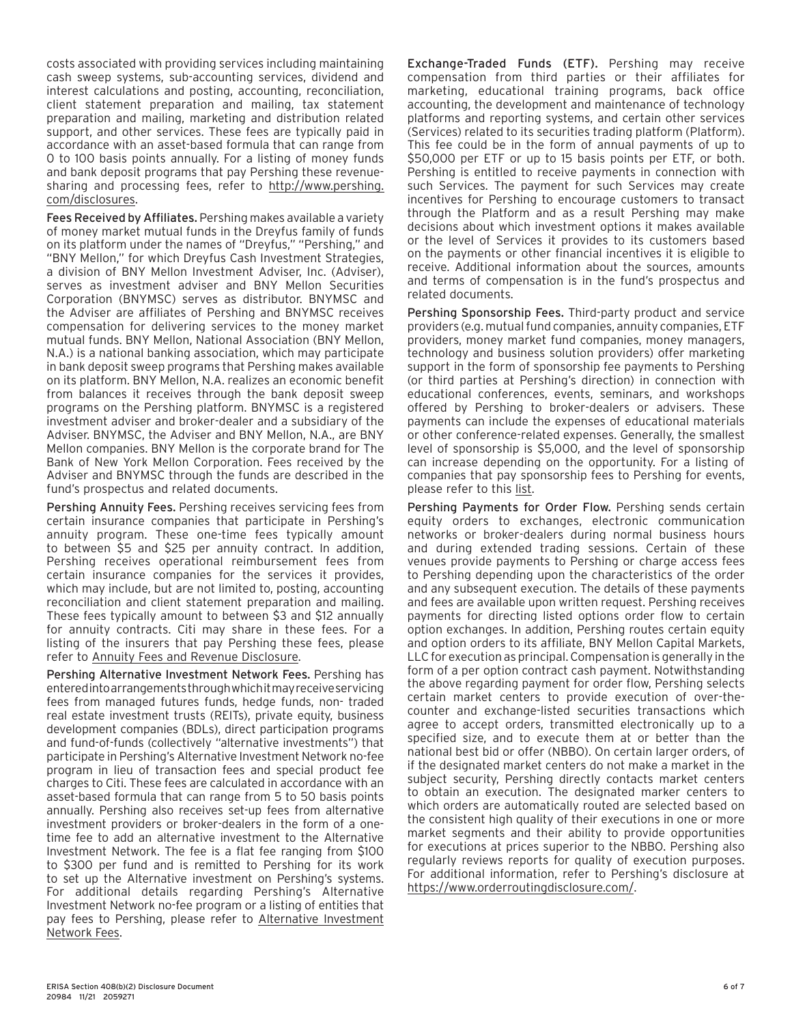costs associated with providing services including maintaining cash sweep systems, sub-accounting services, dividend and interest calculations and posting, accounting, reconciliation, client statement preparation and mailing, tax statement preparation and mailing, marketing and distribution related support, and other services. These fees are typically paid in accordance with an asset-based formula that can range from 0 to 100 basis points annually. For a listing of money funds and bank deposit programs that pay Pershing these revenuesharing and processing fees, refer to [http://www.pershing.](http://www.pershing.com/disclosures) [com/disclosures](http://www.pershing.com/disclosures).

Fees Received by Affiliates. Pershing makes available a variety of money market mutual funds in the Dreyfus family of funds on its platform under the names of "Dreyfus," "Pershing," and "BNY Mellon," for which Dreyfus Cash Investment Strategies, a division of BNY Mellon Investment Adviser, Inc. (Adviser), serves as investment adviser and BNY Mellon Securities Corporation (BNYMSC) serves as distributor. BNYMSC and the Adviser are affiliates of Pershing and BNYMSC receives compensation for delivering services to the money market mutual funds. BNY Mellon, National Association (BNY Mellon, N.A.) is a national banking association, which may participate in bank deposit sweep programs that Pershing makes available on its platform. BNY Mellon, N.A. realizes an economic benefit from balances it receives through the bank deposit sweep programs on the Pershing platform. BNYMSC is a registered investment adviser and broker-dealer and a subsidiary of the Adviser. BNYMSC, the Adviser and BNY Mellon, N.A., are BNY Mellon companies. BNY Mellon is the corporate brand for The Bank of New York Mellon Corporation. Fees received by the Adviser and BNYMSC through the funds are described in the fund's prospectus and related documents.

Pershing Annuity Fees. Pershing receives servicing fees from certain insurance companies that participate in Pershing's annuity program. These one-time fees typically amount to between \$5 and \$25 per annuity contract. In addition, Pershing receives operational reimbursement fees from certain insurance companies for the services it provides, which may include, but are not limited to, posting, accounting reconciliation and client statement preparation and mailing. These fees typically amount to between \$3 and \$12 annually for annuity contracts. Citi may share in these fees. For a listing of the insurers that pay Pershing these fees, please refer to [Annuity Fees and Revenue Disclosure.](https://www.pershing.com/_global-assets/pdf/disclosures/per-annuity-fees-and-revenue.pdf)

Pershing Alternative Investment Network Fees. Pershing has entered into arrangements through which it may receive servicing fees from managed futures funds, hedge funds, non- traded real estate investment trusts (REITs), private equity, business development companies (BDLs), direct participation programs and fund-of-funds (collectively "alternative investments") that participate in Pershing's Alternative Investment Network no-fee program in lieu of transaction fees and special product fee charges to Citi. These fees are calculated in accordance with an asset-based formula that can range from 5 to 50 basis points annually. Pershing also receives set-up fees from alternative investment providers or broker-dealers in the form of a onetime fee to add an alternative investment to the Alternative Investment Network. The fee is a flat fee ranging from \$100 to \$300 per fund and is remitted to Pershing for its work to set up the Alternative investment on Pershing's systems. For additional details regarding Pershing's Alternative Investment Network no-fee program or a listing of entities that pay fees to Pershing, please refer to [Alternative Investment](https://www.pershing.com/_global-assets/pdf/disclosures/per-alternative-investment-network-fees.pdf) [Network Fees](https://www.pershing.com/_global-assets/pdf/disclosures/per-alternative-investment-network-fees.pdf).

Exchange-Traded Funds (ETF). Pershing may receive compensation from third parties or their affiliates for marketing, educational training programs, back office accounting, the development and maintenance of technology platforms and reporting systems, and certain other services (Services) related to its securities trading platform (Platform). This fee could be in the form of annual payments of up to \$50,000 per ETF or up to 15 basis points per ETF, or both. Pershing is entitled to receive payments in connection with such Services. The payment for such Services may create incentives for Pershing to encourage customers to transact through the Platform and as a result Pershing may make decisions about which investment options it makes available or the level of Services it provides to its customers based on the payments or other financial incentives it is eligible to receive. Additional information about the sources, amounts and terms of compensation is in the fund's prospectus and related documents.

Pershing Sponsorship Fees. Third-party product and service providers (e.g. mutual fund companies, annuity companies, ETF providers, money market fund companies, money managers, technology and business solution providers) offer marketing support in the form of sponsorship fee payments to Pershing (or third parties at Pershing's direction) in connection with educational conferences, events, seminars, and workshops offered by Pershing to broker-dealers or advisers. These payments can include the expenses of educational materials or other conference-related expenses. Generally, the smallest level of sponsorship is \$5,000, and the level of sponsorship can increase depending on the opportunity. For a listing of companies that pay sponsorship fees to Pershing for events, please refer to this [list](https://www.pershing.com/_global-assets/pdf/disclosures/per-sponsorship-fees.pdf).

Pershing Payments for Order Flow. Pershing sends certain equity orders to exchanges, electronic communication networks or broker-dealers during normal business hours and during extended trading sessions. Certain of these venues provide payments to Pershing or charge access fees to Pershing depending upon the characteristics of the order and any subsequent execution. The details of these payments and fees are available upon written request. Pershing receives payments for directing listed options order flow to certain option exchanges. In addition, Pershing routes certain equity and option orders to its affiliate, BNY Mellon Capital Markets, LLC for execution as principal. Compensation is generally in the form of a per option contract cash payment. Notwithstanding the above regarding payment for order flow, Pershing selects certain market centers to provide execution of over-thecounter and exchange-listed securities transactions which agree to accept orders, transmitted electronically up to a specified size, and to execute them at or better than the national best bid or offer (NBBO). On certain larger orders, of if the designated market centers do not make a market in the subject security, Pershing directly contacts market centers to obtain an execution. The designated marker centers to which orders are automatically routed are selected based on the consistent high quality of their executions in one or more market segments and their ability to provide opportunities for executions at prices superior to the NBBO. Pershing also regularly reviews reports for quality of execution purposes. For additional information, refer to Pershing's disclosure at <https://www.orderroutingdisclosure.com/>.